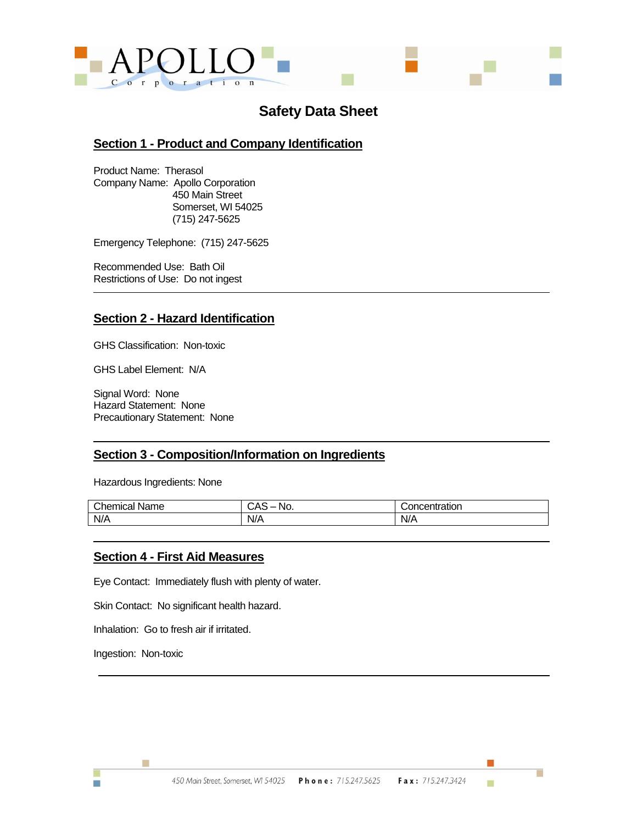

# **Safety Data Sheet**

## **Section 1 - Product and Company Identification**

Product Name: Therasol Company Name: Apollo Corporation 450 Main Street Somerset, WI 54025 (715) 247-5625

Emergency Telephone: (715) 247-5625

Recommended Use: Bath Oil Restrictions of Use: Do not ingest

## **Section 2 - Hazard Identification**

GHS Classification: Non-toxic

GHS Label Element: N/A

Signal Word: None Hazard Statement: None Precautionary Statement: None

## **Section 3 - Composition/Information on Ingredients**

Hazardous Ingredients: None

| Chemical<br>Name | $\mathbf{r}$<br>NO.<br>UAJ | Concentration |
|------------------|----------------------------|---------------|
| N/A              | N/A                        | N/A           |

## **Section 4 - First Aid Measures**

Eye Contact: Immediately flush with plenty of water.

Skin Contact: No significant health hazard.

Inhalation: Go to fresh air if irritated.

Ingestion: Non-toxic

Ħ

ш

г

ш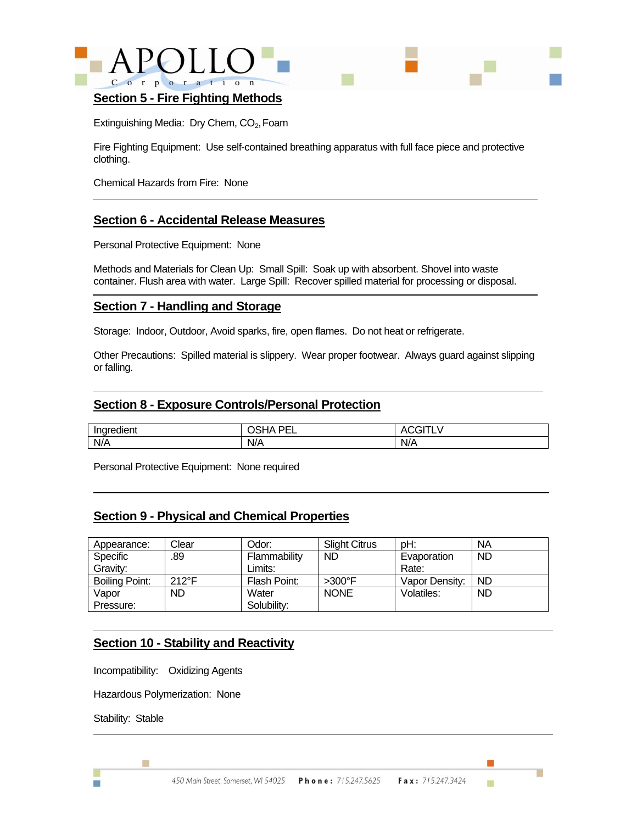



#### **Section 5 - Fire Fighting Methods**

Extinguishing Media: Dry Chem, CO<sub>2</sub>, Foam

Fire Fighting Equipment: Use self-contained breathing apparatus with full face piece and protective clothing.

Chemical Hazards from Fire: None

## **Section 6 - Accidental Release Measures**

Personal Protective Equipment: None

Methods and Materials for Clean Up: Small Spill: Soak up with absorbent. Shovel into waste container. Flush area with water. Large Spill: Recover spilled material for processing or disposal.

### **Section 7 - Handling and Storage**

Storage: Indoor, Outdoor, Avoid sparks, fire, open flames. Do not heat or refrigerate.

Other Precautions: Spilled material is slippery. Wear proper footwear. Always guard against slipping or falling.

### **Section 8 - Exposure Controls/Personal Protection**

| <br>Indredient | DE1<br>--<br>.<br>-- | . .                   |
|----------------|----------------------|-----------------------|
| N/A            | N/A                  | $\blacksquare$<br>N/A |

Personal Protective Equipment: None required

### **Section 9 - Physical and Chemical Properties**

| Appearance:    | Clear          | Odor:        | <b>Slight Citrus</b> | pH:            | <b>NA</b> |
|----------------|----------------|--------------|----------------------|----------------|-----------|
| Specific       | .89            | Flammability | <b>ND</b>            | Evaporation    | <b>ND</b> |
| Gravity:       |                | Limits:      |                      | Rate:          |           |
| Boiling Point: | $212^{\circ}F$ | Flash Point: | $>300^\circ$ F       | Vapor Density: | <b>ND</b> |
| Vapor          | <b>ND</b>      | Water        | <b>NONE</b>          | Volatiles:     | <b>ND</b> |
| Pressure:      |                | Solubility:  |                      |                |           |

## **Section 10 - Stability and Reactivity**

Incompatibility: Oxidizing Agents

Hazardous Polymerization: None

Stability: Stable

m.

Ħ

m